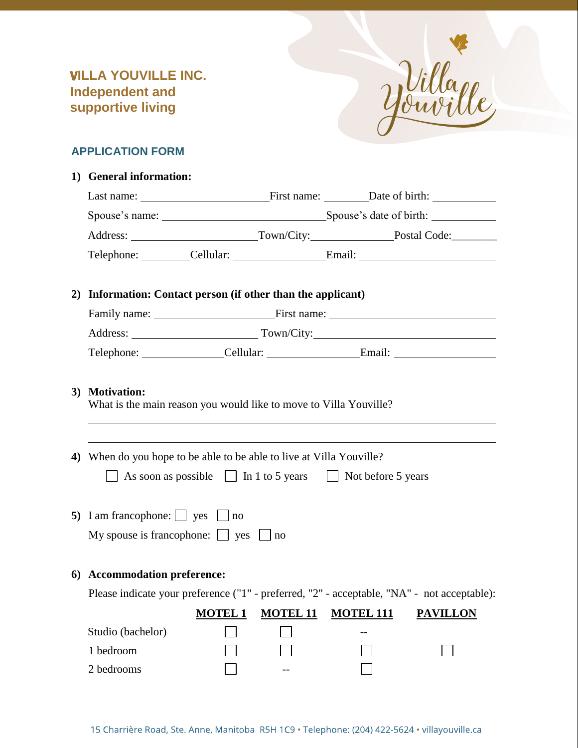

## **APPLICATION FORM**

| 1) General information:                                                                                                                                     |                                                                      |  |  |  |  |  |
|-------------------------------------------------------------------------------------------------------------------------------------------------------------|----------------------------------------------------------------------|--|--|--|--|--|
|                                                                                                                                                             |                                                                      |  |  |  |  |  |
|                                                                                                                                                             |                                                                      |  |  |  |  |  |
|                                                                                                                                                             |                                                                      |  |  |  |  |  |
|                                                                                                                                                             |                                                                      |  |  |  |  |  |
| 2) Information: Contact person (if other than the applicant)                                                                                                |                                                                      |  |  |  |  |  |
|                                                                                                                                                             |                                                                      |  |  |  |  |  |
|                                                                                                                                                             |                                                                      |  |  |  |  |  |
|                                                                                                                                                             |                                                                      |  |  |  |  |  |
| 3) Motivation:<br>What is the main reason you would like to move to Villa Youville?<br>4) When do you hope to be able to be able to live at Villa Youville? | As soon as possible $\Box$ In 1 to 5 years $\Box$ Not before 5 years |  |  |  |  |  |
| 5) I am francophone: $\Box$ yes $\Box$ no<br>My spouse is francophone: $\Box$ yes $\Box$ no                                                                 |                                                                      |  |  |  |  |  |
| 6) Accommodation preference:                                                                                                                                |                                                                      |  |  |  |  |  |
| Please indicate your preference ("1" - preferred, "2" - acceptable, "NA" - not acceptable):                                                                 |                                                                      |  |  |  |  |  |
| <b>MOTEL 11</b><br><b>MOTEL 111</b><br><b>PAVILLON</b><br><b>MOTEL 1</b>                                                                                    |                                                                      |  |  |  |  |  |
| Studio (bachelor)                                                                                                                                           |                                                                      |  |  |  |  |  |
| 1 bedroom                                                                                                                                                   |                                                                      |  |  |  |  |  |
| 2 bedrooms                                                                                                                                                  |                                                                      |  |  |  |  |  |